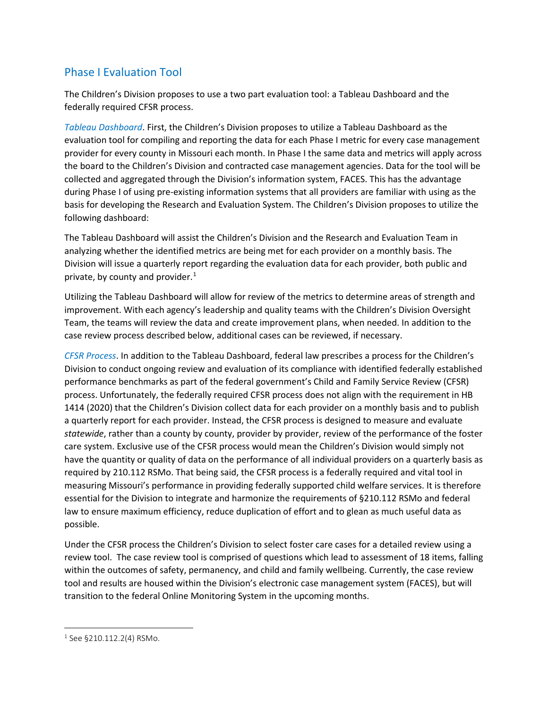## Phase I Evaluation Tool

The Children's Division proposes to use a two part evaluation tool: a Tableau Dashboard and the federally required CFSR process.

*Tableau Dashboard*. First, the Children's Division proposes to utilize a Tableau Dashboard as the evaluation tool for compiling and reporting the data for each Phase I metric for every case management provider for every county in Missouri each month. In Phase I the same data and metrics will apply across the board to the Children's Division and contracted case management agencies. Data for the tool will be collected and aggregated through the Division's information system, FACES. This has the advantage during Phase I of using pre-existing information systems that all providers are familiar with using as the basis for developing the Research and Evaluation System. The Children's Division proposes to utilize the following dashboard:

The Tableau Dashboard will assist the Children's Division and the Research and Evaluation Team in analyzing whether the identified metrics are being met for each provider on a monthly basis. The Division will issue a quarterly report regarding the evaluation data for each provider, both public and private, by county and provider. [1](#page-0-0)

Utilizing the Tableau Dashboard will allow for review of the metrics to determine areas of strength and improvement. With each agency's leadership and quality teams with the Children's Division Oversight Team, the teams will review the data and create improvement plans, when needed. In addition to the case review process described below, additional cases can be reviewed, if necessary.

*CFSR Process*. In addition to the Tableau Dashboard, federal law prescribes a process for the Children's Division to conduct ongoing review and evaluation of its compliance with identified federally established performance benchmarks as part of the federal government's Child and Family Service Review (CFSR) process. Unfortunately, the federally required CFSR process does not align with the requirement in HB 1414 (2020) that the Children's Division collect data for each provider on a monthly basis and to publish a quarterly report for each provider. Instead, the CFSR process is designed to measure and evaluate *statewide*, rather than a county by county, provider by provider, review of the performance of the foster care system. Exclusive use of the CFSR process would mean the Children's Division would simply not have the quantity or quality of data on the performance of all individual providers on a quarterly basis as required by 210.112 RSMo. That being said, the CFSR process is a federally required and vital tool in measuring Missouri's performance in providing federally supported child welfare services. It is therefore essential for the Division to integrate and harmonize the requirements of §210.112 RSMo and federal law to ensure maximum efficiency, reduce duplication of effort and to glean as much useful data as possible.

Under the CFSR process the Children's Division to select foster care cases for a detailed review using a review tool. The case review tool is comprised of questions which lead to assessment of 18 items, falling within the outcomes of safety, permanency, and child and family wellbeing. Currently, the case review tool and results are housed within the Division's electronic case management system (FACES), but will transition to the federal Online Monitoring System in the upcoming months.

l

<span id="page-0-0"></span><sup>&</sup>lt;sup>1</sup> See §210.112.2(4) RSMo.